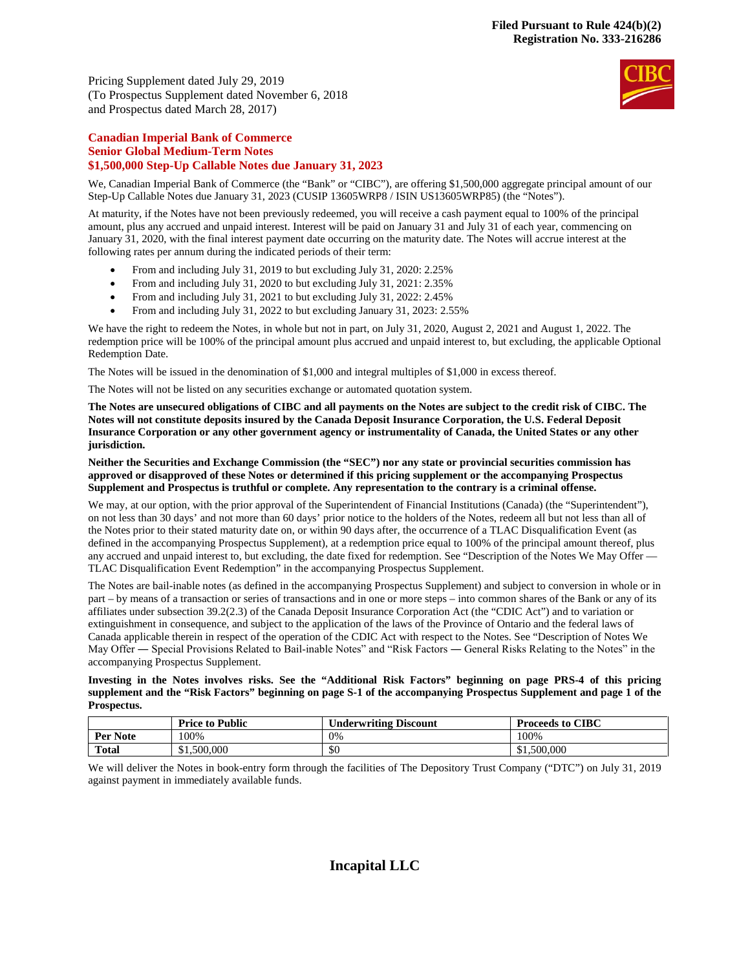Pricing Supplement dated July 29, 2019 (To Prospectus Supplement dated November 6, 2018 and Prospectus dated March 28, 2017)



# **Canadian Imperial Bank of Commerce Senior Global Medium-Term Notes \$1,500,000 Step-Up Callable Notes due January 31, 2023**

We, Canadian Imperial Bank of Commerce (the "Bank" or "CIBC"), are offering \$1,500,000 aggregate principal amount of our Step-Up Callable Notes due January 31, 2023 (CUSIP 13605WRP8 / ISIN US13605WRP85) (the "Notes").

At maturity, if the Notes have not been previously redeemed, you will receive a cash payment equal to 100% of the principal amount, plus any accrued and unpaid interest. Interest will be paid on January 31 and July 31 of each year, commencing on January 31, 2020, with the final interest payment date occurring on the maturity date. The Notes will accrue interest at the following rates per annum during the indicated periods of their term:

- From and including July 31, 2019 to but excluding July 31, 2020: 2.25%
- From and including July 31, 2020 to but excluding July 31, 2021: 2.35%
- From and including July 31, 2021 to but excluding July 31, 2022: 2.45%
- From and including July 31, 2022 to but excluding January 31, 2023: 2.55%

We have the right to redeem the Notes, in whole but not in part, on July 31, 2020, August 2, 2021 and August 1, 2022. The redemption price will be 100% of the principal amount plus accrued and unpaid interest to, but excluding, the applicable Optional Redemption Date.

The Notes will be issued in the denomination of \$1,000 and integral multiples of \$1,000 in excess thereof.

The Notes will not be listed on any securities exchange or automated quotation system.

**The Notes are unsecured obligations of CIBC and all payments on the Notes are subject to the credit risk of CIBC. The Notes will not constitute deposits insured by the Canada Deposit Insurance Corporation, the U.S. Federal Deposit Insurance Corporation or any other government agency or instrumentality of Canada, the United States or any other jurisdiction.** 

**Neither the Securities and Exchange Commission (the "SEC") nor any state or provincial securities commission has approved or disapproved of these Notes or determined if this pricing supplement or the accompanying Prospectus Supplement and Prospectus is truthful or complete. Any representation to the contrary is a criminal offense.** 

We may, at our option, with the prior approval of the Superintendent of Financial Institutions (Canada) (the "Superintendent"), on not less than 30 days' and not more than 60 days' prior notice to the holders of the Notes, redeem all but not less than all of the Notes prior to their stated maturity date on, or within 90 days after, the occurrence of a TLAC Disqualification Event (as defined in the accompanying Prospectus Supplement), at a redemption price equal to 100% of the principal amount thereof, plus any accrued and unpaid interest to, but excluding, the date fixed for redemption. See "Description of the Notes We May Offer — TLAC Disqualification Event Redemption" in the accompanying Prospectus Supplement.

The Notes are bail-inable notes (as defined in the accompanying Prospectus Supplement) and subject to conversion in whole or in part – by means of a transaction or series of transactions and in one or more steps – into common shares of the Bank or any of its affiliates under subsection 39.2(2.3) of the Canada Deposit Insurance Corporation Act (the "CDIC Act") and to variation or extinguishment in consequence, and subject to the application of the laws of the Province of Ontario and the federal laws of Canada applicable therein in respect of the operation of the CDIC Act with respect to the Notes. See "Description of Notes We May Offer ― Special Provisions Related to Bail-inable Notes" and "Risk Factors ― General Risks Relating to the Notes" in the accompanying Prospectus Supplement.

**Investing in the Notes involves risks. See the "Additional Risk Factors" beginning on page PRS-4 of this pricing supplement and the "Risk Factors" beginning on page S-1 of the accompanying Prospectus Supplement and page 1 of the Prospectus.** 

|              | <b>Price to Public</b> | Underwriting Discount | <b>Proceeds to CIBC</b> |
|--------------|------------------------|-----------------------|-------------------------|
| Per Note     | 100%                   | 0%                    | 100%                    |
| <b>Total</b> | \$1,500,000            | \$0                   | \$1,500,000             |

We will deliver the Notes in book-entry form through the facilities of The Depository Trust Company ("DTC") on July 31, 2019 against payment in immediately available funds.

# **Incapital LLC**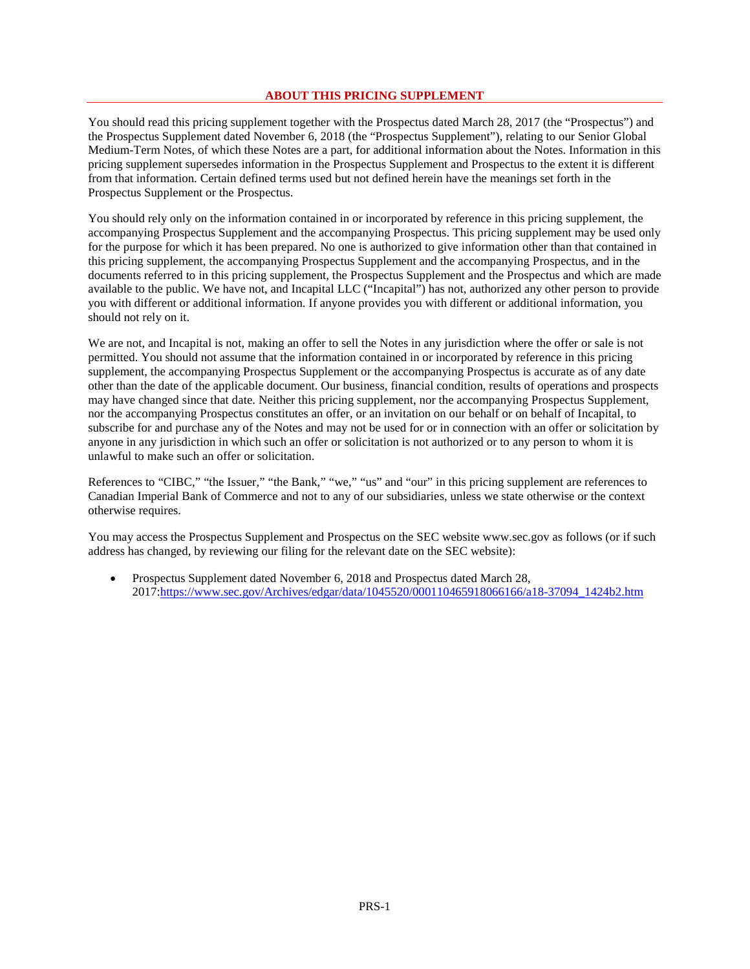# **ABOUT THIS PRICING SUPPLEMENT**

You should read this pricing supplement together with the Prospectus dated March 28, 2017 (the "Prospectus") and the Prospectus Supplement dated November 6, 2018 (the "Prospectus Supplement"), relating to our Senior Global Medium-Term Notes, of which these Notes are a part, for additional information about the Notes. Information in this pricing supplement supersedes information in the Prospectus Supplement and Prospectus to the extent it is different from that information. Certain defined terms used but not defined herein have the meanings set forth in the Prospectus Supplement or the Prospectus.

You should rely only on the information contained in or incorporated by reference in this pricing supplement, the accompanying Prospectus Supplement and the accompanying Prospectus. This pricing supplement may be used only for the purpose for which it has been prepared. No one is authorized to give information other than that contained in this pricing supplement, the accompanying Prospectus Supplement and the accompanying Prospectus, and in the documents referred to in this pricing supplement, the Prospectus Supplement and the Prospectus and which are made available to the public. We have not, and Incapital LLC ("Incapital") has not, authorized any other person to provide you with different or additional information. If anyone provides you with different or additional information, you should not rely on it.

We are not, and Incapital is not, making an offer to sell the Notes in any jurisdiction where the offer or sale is not permitted. You should not assume that the information contained in or incorporated by reference in this pricing supplement, the accompanying Prospectus Supplement or the accompanying Prospectus is accurate as of any date other than the date of the applicable document. Our business, financial condition, results of operations and prospects may have changed since that date. Neither this pricing supplement, nor the accompanying Prospectus Supplement, nor the accompanying Prospectus constitutes an offer, or an invitation on our behalf or on behalf of Incapital, to subscribe for and purchase any of the Notes and may not be used for or in connection with an offer or solicitation by anyone in any jurisdiction in which such an offer or solicitation is not authorized or to any person to whom it is unlawful to make such an offer or solicitation.

References to "CIBC," "the Issuer," "the Bank," "we," "us" and "our" in this pricing supplement are references to Canadian Imperial Bank of Commerce and not to any of our subsidiaries, unless we state otherwise or the context otherwise requires.

You may access the Prospectus Supplement and Prospectus on the SEC website www.sec.gov as follows (or if such address has changed, by reviewing our filing for the relevant date on the SEC website):

 Prospectus Supplement dated November 6, 2018 and Prospectus dated March 28, 2017:https://www.sec.gov/Archives/edgar/data/1045520/000110465918066166/a18-37094\_1424b2.htm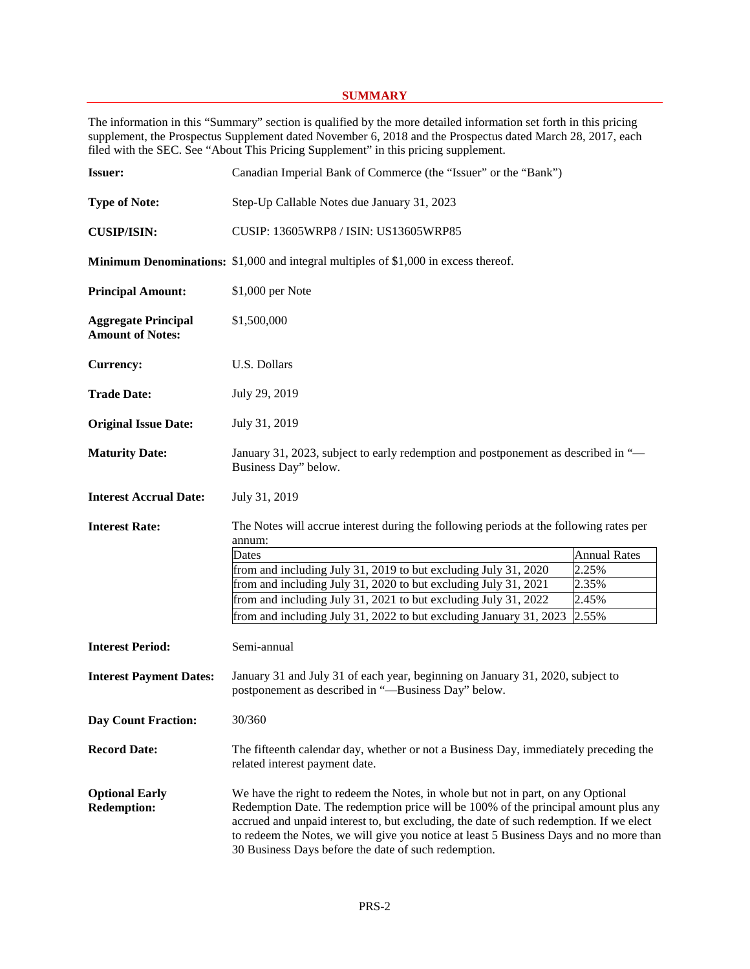# **SUMMARY**

The information in this "Summary" section is qualified by the more detailed information set forth in this pricing supplement, the Prospectus Supplement dated November 6, 2018 and the Prospectus dated March 28, 2017, each filed with the SEC. See "About This Pricing Supplement" in this pricing supplement.

| <b>Issuer:</b>                                        | Canadian Imperial Bank of Commerce (the "Issuer" or the "Bank")                                                                                                                                                                                                                                                                                                                                                      |                                                         |
|-------------------------------------------------------|----------------------------------------------------------------------------------------------------------------------------------------------------------------------------------------------------------------------------------------------------------------------------------------------------------------------------------------------------------------------------------------------------------------------|---------------------------------------------------------|
| <b>Type of Note:</b>                                  | Step-Up Callable Notes due January 31, 2023                                                                                                                                                                                                                                                                                                                                                                          |                                                         |
| <b>CUSIP/ISIN:</b>                                    | CUSIP: 13605WRP8 / ISIN: US13605WRP85                                                                                                                                                                                                                                                                                                                                                                                |                                                         |
|                                                       | <b>Minimum Denominations:</b> \$1,000 and integral multiples of \$1,000 in excess thereof.                                                                                                                                                                                                                                                                                                                           |                                                         |
| <b>Principal Amount:</b>                              | \$1,000 per Note                                                                                                                                                                                                                                                                                                                                                                                                     |                                                         |
| <b>Aggregate Principal</b><br><b>Amount of Notes:</b> | \$1,500,000                                                                                                                                                                                                                                                                                                                                                                                                          |                                                         |
| <b>Currency:</b>                                      | U.S. Dollars                                                                                                                                                                                                                                                                                                                                                                                                         |                                                         |
| <b>Trade Date:</b>                                    | July 29, 2019                                                                                                                                                                                                                                                                                                                                                                                                        |                                                         |
| <b>Original Issue Date:</b>                           | July 31, 2019                                                                                                                                                                                                                                                                                                                                                                                                        |                                                         |
| <b>Maturity Date:</b>                                 | January 31, 2023, subject to early redemption and postponement as described in "-<br>Business Day" below.                                                                                                                                                                                                                                                                                                            |                                                         |
| <b>Interest Accrual Date:</b>                         | July 31, 2019                                                                                                                                                                                                                                                                                                                                                                                                        |                                                         |
| <b>Interest Rate:</b>                                 | The Notes will accrue interest during the following periods at the following rates per<br>annum:<br>Dates<br>from and including July 31, 2019 to but excluding July 31, 2020<br>from and including July 31, 2020 to but excluding July 31, 2021<br>from and including July 31, 2021 to but excluding July 31, 2022<br>from and including July 31, 2022 to but excluding January 31, 2023                             | <b>Annual Rates</b><br>2.25%<br>2.35%<br>2.45%<br>2.55% |
| <b>Interest Period:</b>                               | Semi-annual                                                                                                                                                                                                                                                                                                                                                                                                          |                                                         |
| <b>Interest Payment Dates:</b>                        | January 31 and July 31 of each year, beginning on January 31, 2020, subject to<br>postponement as described in "-Business Day" below.                                                                                                                                                                                                                                                                                |                                                         |
| <b>Day Count Fraction:</b>                            | 30/360                                                                                                                                                                                                                                                                                                                                                                                                               |                                                         |
| <b>Record Date:</b>                                   | The fifteenth calendar day, whether or not a Business Day, immediately preceding the<br>related interest payment date.                                                                                                                                                                                                                                                                                               |                                                         |
| <b>Optional Early</b><br><b>Redemption:</b>           | We have the right to redeem the Notes, in whole but not in part, on any Optional<br>Redemption Date. The redemption price will be 100% of the principal amount plus any<br>accrued and unpaid interest to, but excluding, the date of such redemption. If we elect<br>to redeem the Notes, we will give you notice at least 5 Business Days and no more than<br>30 Business Days before the date of such redemption. |                                                         |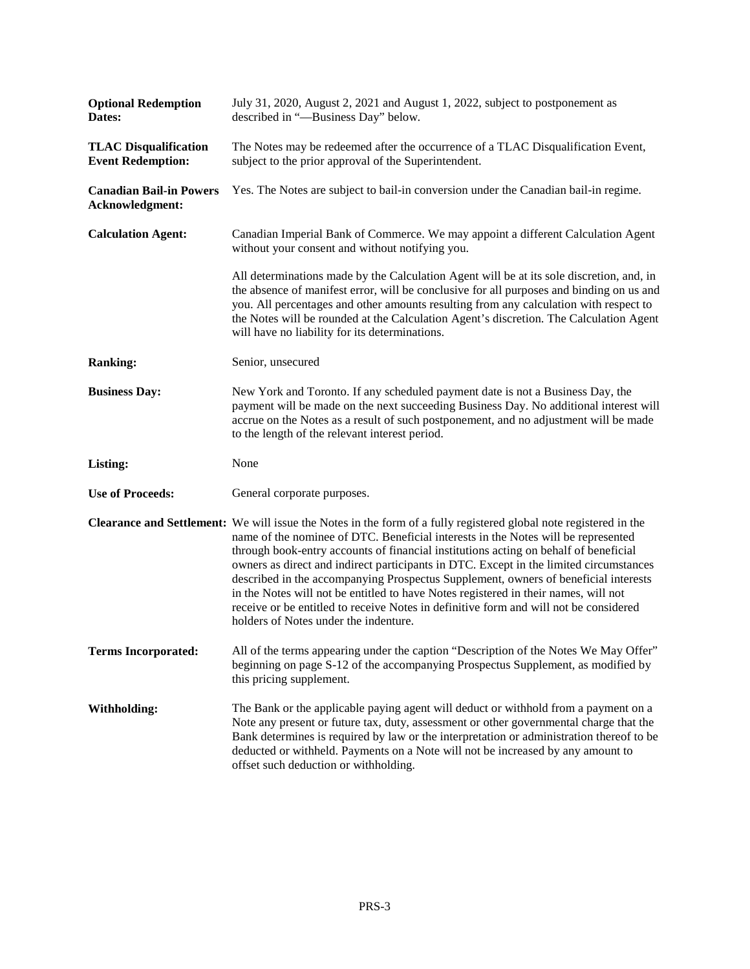| <b>Optional Redemption</b><br>Dates:                     | July 31, 2020, August 2, 2021 and August 1, 2022, subject to postponement as<br>described in "-Business Day" below.                                                                                                                                                                                                                                                                                                                                                                                                                                                                                                                                                                                      |
|----------------------------------------------------------|----------------------------------------------------------------------------------------------------------------------------------------------------------------------------------------------------------------------------------------------------------------------------------------------------------------------------------------------------------------------------------------------------------------------------------------------------------------------------------------------------------------------------------------------------------------------------------------------------------------------------------------------------------------------------------------------------------|
| <b>TLAC Disqualification</b><br><b>Event Redemption:</b> | The Notes may be redeemed after the occurrence of a TLAC Disqualification Event,<br>subject to the prior approval of the Superintendent.                                                                                                                                                                                                                                                                                                                                                                                                                                                                                                                                                                 |
| <b>Canadian Bail-in Powers</b><br>Acknowledgment:        | Yes. The Notes are subject to bail-in conversion under the Canadian bail-in regime.                                                                                                                                                                                                                                                                                                                                                                                                                                                                                                                                                                                                                      |
| <b>Calculation Agent:</b>                                | Canadian Imperial Bank of Commerce. We may appoint a different Calculation Agent<br>without your consent and without notifying you.                                                                                                                                                                                                                                                                                                                                                                                                                                                                                                                                                                      |
|                                                          | All determinations made by the Calculation Agent will be at its sole discretion, and, in<br>the absence of manifest error, will be conclusive for all purposes and binding on us and<br>you. All percentages and other amounts resulting from any calculation with respect to<br>the Notes will be rounded at the Calculation Agent's discretion. The Calculation Agent<br>will have no liability for its determinations.                                                                                                                                                                                                                                                                                |
| <b>Ranking:</b>                                          | Senior, unsecured                                                                                                                                                                                                                                                                                                                                                                                                                                                                                                                                                                                                                                                                                        |
| <b>Business Day:</b>                                     | New York and Toronto. If any scheduled payment date is not a Business Day, the<br>payment will be made on the next succeeding Business Day. No additional interest will<br>accrue on the Notes as a result of such postponement, and no adjustment will be made<br>to the length of the relevant interest period.                                                                                                                                                                                                                                                                                                                                                                                        |
| Listing:                                                 | None                                                                                                                                                                                                                                                                                                                                                                                                                                                                                                                                                                                                                                                                                                     |
| <b>Use of Proceeds:</b>                                  | General corporate purposes.                                                                                                                                                                                                                                                                                                                                                                                                                                                                                                                                                                                                                                                                              |
|                                                          | Clearance and Settlement: We will issue the Notes in the form of a fully registered global note registered in the<br>name of the nominee of DTC. Beneficial interests in the Notes will be represented<br>through book-entry accounts of financial institutions acting on behalf of beneficial<br>owners as direct and indirect participants in DTC. Except in the limited circumstances<br>described in the accompanying Prospectus Supplement, owners of beneficial interests<br>in the Notes will not be entitled to have Notes registered in their names, will not<br>receive or be entitled to receive Notes in definitive form and will not be considered<br>holders of Notes under the indenture. |
| <b>Terms Incorporated:</b>                               | All of the terms appearing under the caption "Description of the Notes We May Offer"<br>beginning on page S-12 of the accompanying Prospectus Supplement, as modified by<br>this pricing supplement.                                                                                                                                                                                                                                                                                                                                                                                                                                                                                                     |
| <b>Withholding:</b>                                      | The Bank or the applicable paying agent will deduct or withhold from a payment on a<br>Note any present or future tax, duty, assessment or other governmental charge that the<br>Bank determines is required by law or the interpretation or administration thereof to be<br>deducted or withheld. Payments on a Note will not be increased by any amount to<br>offset such deduction or withholding.                                                                                                                                                                                                                                                                                                    |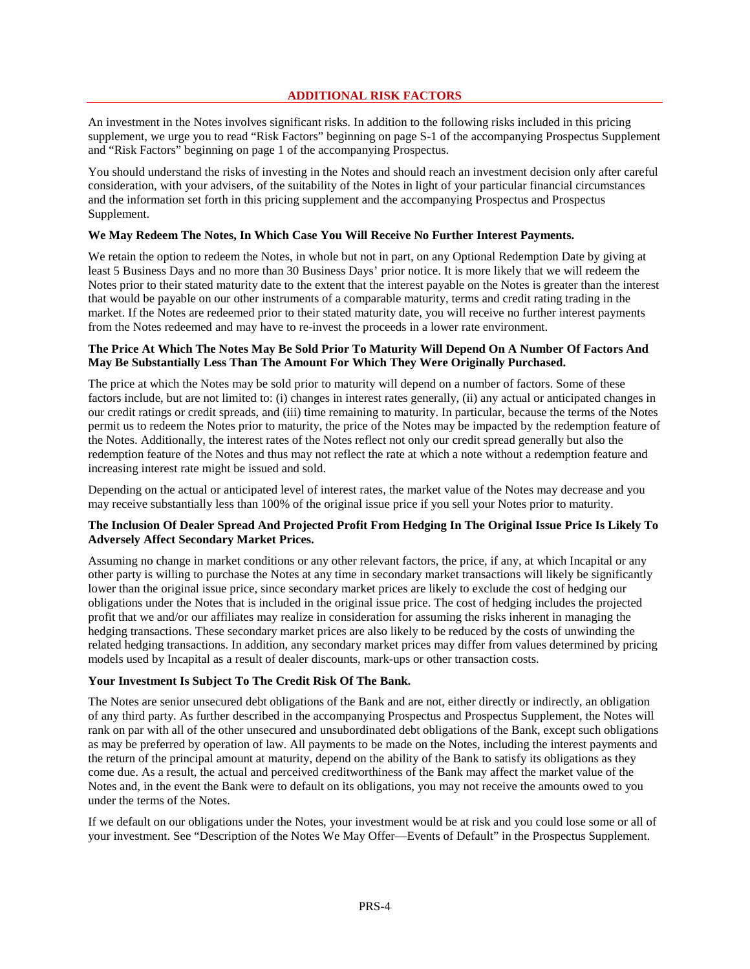# **ADDITIONAL RISK FACTORS**

An investment in the Notes involves significant risks. In addition to the following risks included in this pricing supplement, we urge you to read "Risk Factors" beginning on page S-1 of the accompanying Prospectus Supplement and "Risk Factors" beginning on page 1 of the accompanying Prospectus.

You should understand the risks of investing in the Notes and should reach an investment decision only after careful consideration, with your advisers, of the suitability of the Notes in light of your particular financial circumstances and the information set forth in this pricing supplement and the accompanying Prospectus and Prospectus Supplement.

# **We May Redeem The Notes, In Which Case You Will Receive No Further Interest Payments.**

We retain the option to redeem the Notes, in whole but not in part, on any Optional Redemption Date by giving at least 5 Business Days and no more than 30 Business Days' prior notice. It is more likely that we will redeem the Notes prior to their stated maturity date to the extent that the interest payable on the Notes is greater than the interest that would be payable on our other instruments of a comparable maturity, terms and credit rating trading in the market. If the Notes are redeemed prior to their stated maturity date, you will receive no further interest payments from the Notes redeemed and may have to re-invest the proceeds in a lower rate environment.

# **The Price At Which The Notes May Be Sold Prior To Maturity Will Depend On A Number Of Factors And May Be Substantially Less Than The Amount For Which They Were Originally Purchased.**

The price at which the Notes may be sold prior to maturity will depend on a number of factors. Some of these factors include, but are not limited to: (i) changes in interest rates generally, (ii) any actual or anticipated changes in our credit ratings or credit spreads, and (iii) time remaining to maturity. In particular, because the terms of the Notes permit us to redeem the Notes prior to maturity, the price of the Notes may be impacted by the redemption feature of the Notes. Additionally, the interest rates of the Notes reflect not only our credit spread generally but also the redemption feature of the Notes and thus may not reflect the rate at which a note without a redemption feature and increasing interest rate might be issued and sold.

Depending on the actual or anticipated level of interest rates, the market value of the Notes may decrease and you may receive substantially less than 100% of the original issue price if you sell your Notes prior to maturity.

# **The Inclusion Of Dealer Spread And Projected Profit From Hedging In The Original Issue Price Is Likely To Adversely Affect Secondary Market Prices.**

Assuming no change in market conditions or any other relevant factors, the price, if any, at which Incapital or any other party is willing to purchase the Notes at any time in secondary market transactions will likely be significantly lower than the original issue price, since secondary market prices are likely to exclude the cost of hedging our obligations under the Notes that is included in the original issue price. The cost of hedging includes the projected profit that we and/or our affiliates may realize in consideration for assuming the risks inherent in managing the hedging transactions. These secondary market prices are also likely to be reduced by the costs of unwinding the related hedging transactions. In addition, any secondary market prices may differ from values determined by pricing models used by Incapital as a result of dealer discounts, mark-ups or other transaction costs.

# **Your Investment Is Subject To The Credit Risk Of The Bank.**

The Notes are senior unsecured debt obligations of the Bank and are not, either directly or indirectly, an obligation of any third party. As further described in the accompanying Prospectus and Prospectus Supplement, the Notes will rank on par with all of the other unsecured and unsubordinated debt obligations of the Bank, except such obligations as may be preferred by operation of law. All payments to be made on the Notes, including the interest payments and the return of the principal amount at maturity, depend on the ability of the Bank to satisfy its obligations as they come due. As a result, the actual and perceived creditworthiness of the Bank may affect the market value of the Notes and, in the event the Bank were to default on its obligations, you may not receive the amounts owed to you under the terms of the Notes.

If we default on our obligations under the Notes, your investment would be at risk and you could lose some or all of your investment. See "Description of the Notes We May Offer—Events of Default" in the Prospectus Supplement.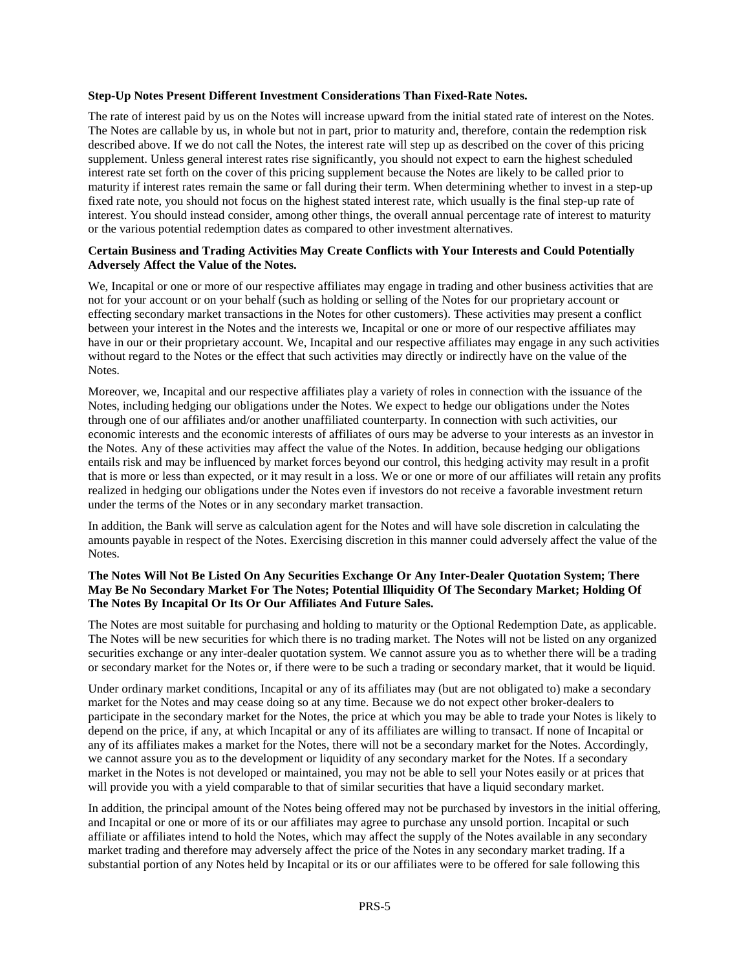#### **Step-Up Notes Present Different Investment Considerations Than Fixed-Rate Notes.**

The rate of interest paid by us on the Notes will increase upward from the initial stated rate of interest on the Notes. The Notes are callable by us, in whole but not in part, prior to maturity and, therefore, contain the redemption risk described above. If we do not call the Notes, the interest rate will step up as described on the cover of this pricing supplement. Unless general interest rates rise significantly, you should not expect to earn the highest scheduled interest rate set forth on the cover of this pricing supplement because the Notes are likely to be called prior to maturity if interest rates remain the same or fall during their term. When determining whether to invest in a step-up fixed rate note, you should not focus on the highest stated interest rate, which usually is the final step-up rate of interest. You should instead consider, among other things, the overall annual percentage rate of interest to maturity or the various potential redemption dates as compared to other investment alternatives.

#### **Certain Business and Trading Activities May Create Conflicts with Your Interests and Could Potentially Adversely Affect the Value of the Notes.**

We, Incapital or one or more of our respective affiliates may engage in trading and other business activities that are not for your account or on your behalf (such as holding or selling of the Notes for our proprietary account or effecting secondary market transactions in the Notes for other customers). These activities may present a conflict between your interest in the Notes and the interests we, Incapital or one or more of our respective affiliates may have in our or their proprietary account. We, Incapital and our respective affiliates may engage in any such activities without regard to the Notes or the effect that such activities may directly or indirectly have on the value of the Notes.

Moreover, we, Incapital and our respective affiliates play a variety of roles in connection with the issuance of the Notes, including hedging our obligations under the Notes. We expect to hedge our obligations under the Notes through one of our affiliates and/or another unaffiliated counterparty. In connection with such activities, our economic interests and the economic interests of affiliates of ours may be adverse to your interests as an investor in the Notes. Any of these activities may affect the value of the Notes. In addition, because hedging our obligations entails risk and may be influenced by market forces beyond our control, this hedging activity may result in a profit that is more or less than expected, or it may result in a loss. We or one or more of our affiliates will retain any profits realized in hedging our obligations under the Notes even if investors do not receive a favorable investment return under the terms of the Notes or in any secondary market transaction.

In addition, the Bank will serve as calculation agent for the Notes and will have sole discretion in calculating the amounts payable in respect of the Notes. Exercising discretion in this manner could adversely affect the value of the Notes.

#### **The Notes Will Not Be Listed On Any Securities Exchange Or Any Inter-Dealer Quotation System; There May Be No Secondary Market For The Notes; Potential Illiquidity Of The Secondary Market; Holding Of The Notes By Incapital Or Its Or Our Affiliates And Future Sales.**

The Notes are most suitable for purchasing and holding to maturity or the Optional Redemption Date, as applicable. The Notes will be new securities for which there is no trading market. The Notes will not be listed on any organized securities exchange or any inter-dealer quotation system. We cannot assure you as to whether there will be a trading or secondary market for the Notes or, if there were to be such a trading or secondary market, that it would be liquid.

Under ordinary market conditions, Incapital or any of its affiliates may (but are not obligated to) make a secondary market for the Notes and may cease doing so at any time. Because we do not expect other broker-dealers to participate in the secondary market for the Notes, the price at which you may be able to trade your Notes is likely to depend on the price, if any, at which Incapital or any of its affiliates are willing to transact. If none of Incapital or any of its affiliates makes a market for the Notes, there will not be a secondary market for the Notes. Accordingly, we cannot assure you as to the development or liquidity of any secondary market for the Notes. If a secondary market in the Notes is not developed or maintained, you may not be able to sell your Notes easily or at prices that will provide you with a yield comparable to that of similar securities that have a liquid secondary market.

In addition, the principal amount of the Notes being offered may not be purchased by investors in the initial offering, and Incapital or one or more of its or our affiliates may agree to purchase any unsold portion. Incapital or such affiliate or affiliates intend to hold the Notes, which may affect the supply of the Notes available in any secondary market trading and therefore may adversely affect the price of the Notes in any secondary market trading. If a substantial portion of any Notes held by Incapital or its or our affiliates were to be offered for sale following this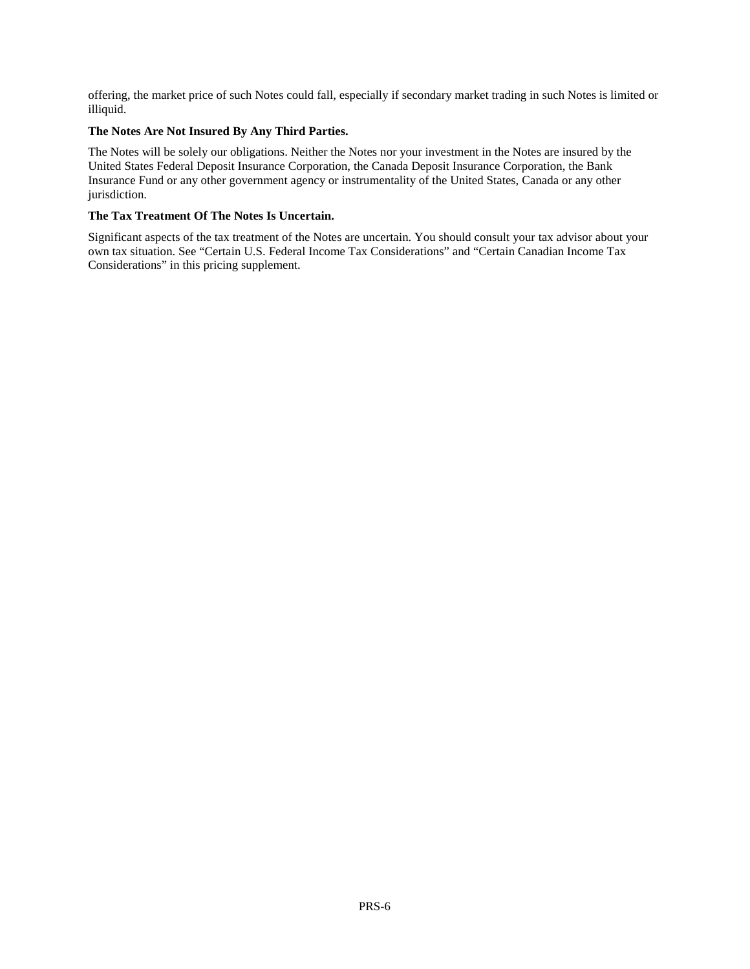offering, the market price of such Notes could fall, especially if secondary market trading in such Notes is limited or illiquid.

# **The Notes Are Not Insured By Any Third Parties.**

The Notes will be solely our obligations. Neither the Notes nor your investment in the Notes are insured by the United States Federal Deposit Insurance Corporation, the Canada Deposit Insurance Corporation, the Bank Insurance Fund or any other government agency or instrumentality of the United States, Canada or any other jurisdiction.

# **The Tax Treatment Of The Notes Is Uncertain.**

Significant aspects of the tax treatment of the Notes are uncertain. You should consult your tax advisor about your own tax situation. See "Certain U.S. Federal Income Tax Considerations" and "Certain Canadian Income Tax Considerations" in this pricing supplement.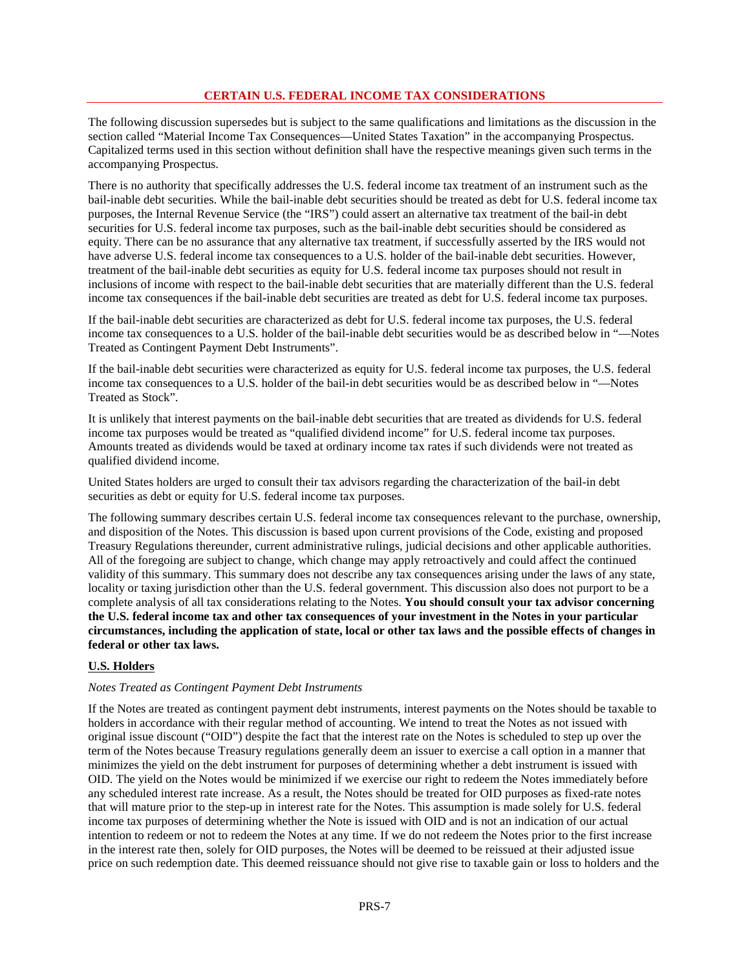# **CERTAIN U.S. FEDERAL INCOME TAX CONSIDERATIONS**

The following discussion supersedes but is subject to the same qualifications and limitations as the discussion in the section called "Material Income Tax Consequences—United States Taxation" in the accompanying Prospectus. Capitalized terms used in this section without definition shall have the respective meanings given such terms in the accompanying Prospectus.

There is no authority that specifically addresses the U.S. federal income tax treatment of an instrument such as the bail-inable debt securities. While the bail-inable debt securities should be treated as debt for U.S. federal income tax purposes, the Internal Revenue Service (the "IRS") could assert an alternative tax treatment of the bail-in debt securities for U.S. federal income tax purposes, such as the bail-inable debt securities should be considered as equity. There can be no assurance that any alternative tax treatment, if successfully asserted by the IRS would not have adverse U.S. federal income tax consequences to a U.S. holder of the bail-inable debt securities. However, treatment of the bail-inable debt securities as equity for U.S. federal income tax purposes should not result in inclusions of income with respect to the bail-inable debt securities that are materially different than the U.S. federal income tax consequences if the bail-inable debt securities are treated as debt for U.S. federal income tax purposes.

If the bail-inable debt securities are characterized as debt for U.S. federal income tax purposes, the U.S. federal income tax consequences to a U.S. holder of the bail-inable debt securities would be as described below in "—Notes Treated as Contingent Payment Debt Instruments".

If the bail-inable debt securities were characterized as equity for U.S. federal income tax purposes, the U.S. federal income tax consequences to a U.S. holder of the bail-in debt securities would be as described below in "—Notes Treated as Stock".

It is unlikely that interest payments on the bail-inable debt securities that are treated as dividends for U.S. federal income tax purposes would be treated as "qualified dividend income" for U.S. federal income tax purposes. Amounts treated as dividends would be taxed at ordinary income tax rates if such dividends were not treated as qualified dividend income.

United States holders are urged to consult their tax advisors regarding the characterization of the bail-in debt securities as debt or equity for U.S. federal income tax purposes.

The following summary describes certain U.S. federal income tax consequences relevant to the purchase, ownership, and disposition of the Notes. This discussion is based upon current provisions of the Code, existing and proposed Treasury Regulations thereunder, current administrative rulings, judicial decisions and other applicable authorities. All of the foregoing are subject to change, which change may apply retroactively and could affect the continued validity of this summary. This summary does not describe any tax consequences arising under the laws of any state, locality or taxing jurisdiction other than the U.S. federal government. This discussion also does not purport to be a complete analysis of all tax considerations relating to the Notes. **You should consult your tax advisor concerning the U.S. federal income tax and other tax consequences of your investment in the Notes in your particular circumstances, including the application of state, local or other tax laws and the possible effects of changes in federal or other tax laws.**

# **U.S. Holders**

#### *Notes Treated as Contingent Payment Debt Instruments*

If the Notes are treated as contingent payment debt instruments, interest payments on the Notes should be taxable to holders in accordance with their regular method of accounting. We intend to treat the Notes as not issued with original issue discount ("OID") despite the fact that the interest rate on the Notes is scheduled to step up over the term of the Notes because Treasury regulations generally deem an issuer to exercise a call option in a manner that minimizes the yield on the debt instrument for purposes of determining whether a debt instrument is issued with OID. The yield on the Notes would be minimized if we exercise our right to redeem the Notes immediately before any scheduled interest rate increase. As a result, the Notes should be treated for OID purposes as fixed-rate notes that will mature prior to the step-up in interest rate for the Notes. This assumption is made solely for U.S. federal income tax purposes of determining whether the Note is issued with OID and is not an indication of our actual intention to redeem or not to redeem the Notes at any time. If we do not redeem the Notes prior to the first increase in the interest rate then, solely for OID purposes, the Notes will be deemed to be reissued at their adjusted issue price on such redemption date. This deemed reissuance should not give rise to taxable gain or loss to holders and the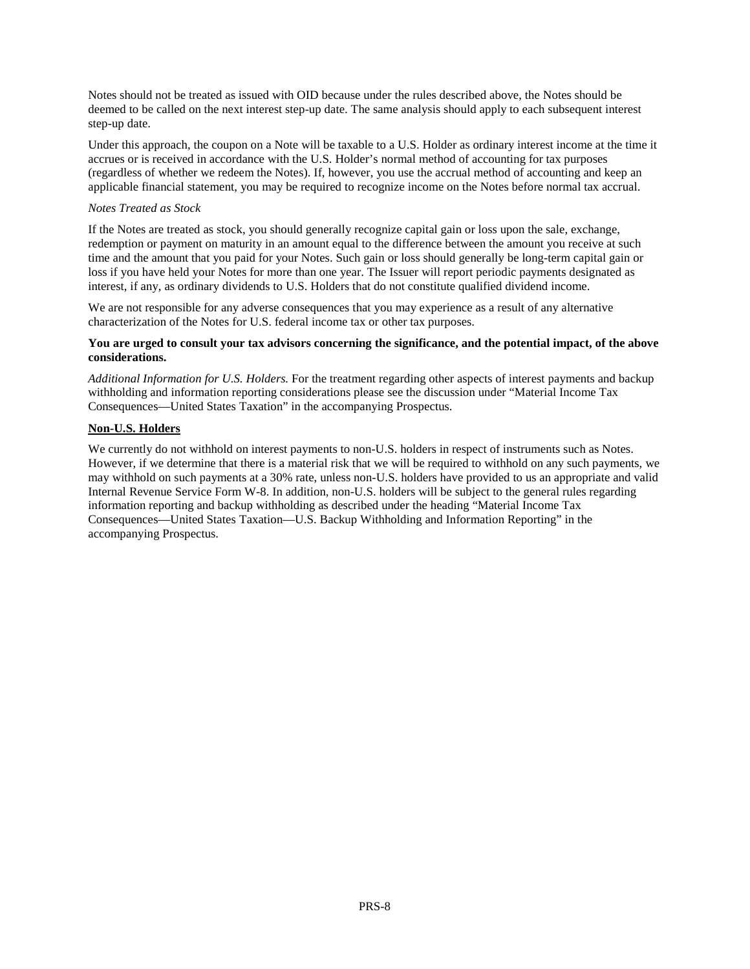Notes should not be treated as issued with OID because under the rules described above, the Notes should be deemed to be called on the next interest step-up date. The same analysis should apply to each subsequent interest step-up date.

Under this approach, the coupon on a Note will be taxable to a U.S. Holder as ordinary interest income at the time it accrues or is received in accordance with the U.S. Holder's normal method of accounting for tax purposes (regardless of whether we redeem the Notes). If, however, you use the accrual method of accounting and keep an applicable financial statement, you may be required to recognize income on the Notes before normal tax accrual.

#### *Notes Treated as Stock*

If the Notes are treated as stock, you should generally recognize capital gain or loss upon the sale, exchange, redemption or payment on maturity in an amount equal to the difference between the amount you receive at such time and the amount that you paid for your Notes. Such gain or loss should generally be long-term capital gain or loss if you have held your Notes for more than one year. The Issuer will report periodic payments designated as interest, if any, as ordinary dividends to U.S. Holders that do not constitute qualified dividend income.

We are not responsible for any adverse consequences that you may experience as a result of any alternative characterization of the Notes for U.S. federal income tax or other tax purposes.

#### **You are urged to consult your tax advisors concerning the significance, and the potential impact, of the above considerations.**

*Additional Information for U.S. Holders.* For the treatment regarding other aspects of interest payments and backup withholding and information reporting considerations please see the discussion under "Material Income Tax Consequences—United States Taxation" in the accompanying Prospectus.

#### **Non-U.S. Holders**

We currently do not withhold on interest payments to non-U.S. holders in respect of instruments such as Notes. However, if we determine that there is a material risk that we will be required to withhold on any such payments, we may withhold on such payments at a 30% rate, unless non-U.S. holders have provided to us an appropriate and valid Internal Revenue Service Form W-8. In addition, non-U.S. holders will be subject to the general rules regarding information reporting and backup withholding as described under the heading "Material Income Tax Consequences—United States Taxation—U.S. Backup Withholding and Information Reporting" in the accompanying Prospectus.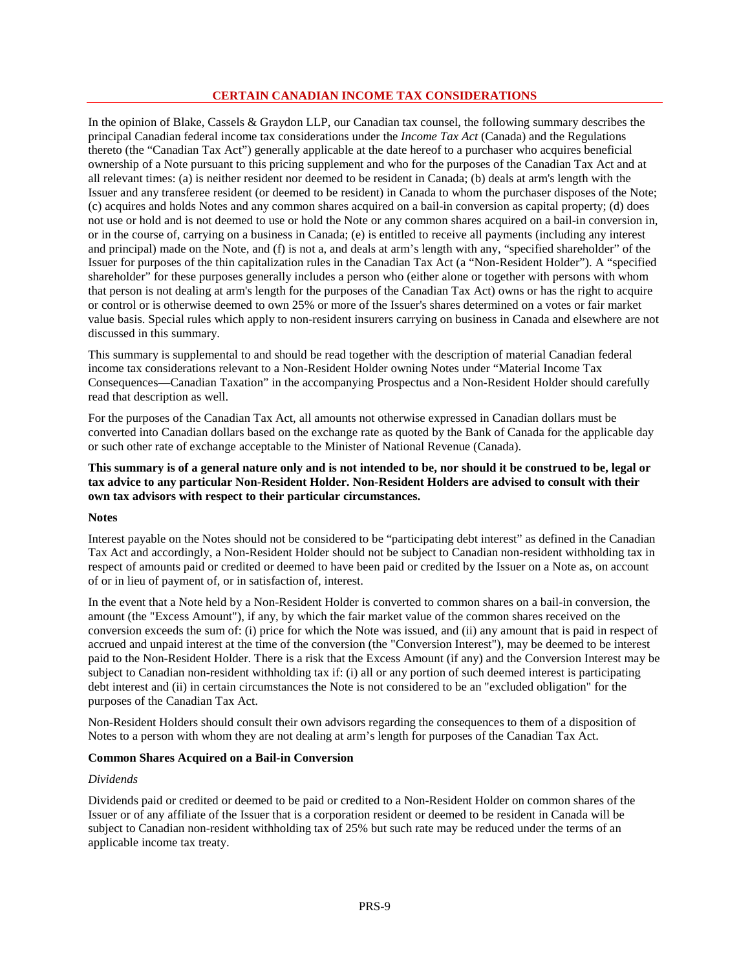# **CERTAIN CANADIAN INCOME TAX CONSIDERATIONS**

In the opinion of Blake, Cassels & Graydon LLP, our Canadian tax counsel, the following summary describes the principal Canadian federal income tax considerations under the *Income Tax Act* (Canada) and the Regulations thereto (the "Canadian Tax Act") generally applicable at the date hereof to a purchaser who acquires beneficial ownership of a Note pursuant to this pricing supplement and who for the purposes of the Canadian Tax Act and at all relevant times: (a) is neither resident nor deemed to be resident in Canada; (b) deals at arm's length with the Issuer and any transferee resident (or deemed to be resident) in Canada to whom the purchaser disposes of the Note; (c) acquires and holds Notes and any common shares acquired on a bail-in conversion as capital property; (d) does not use or hold and is not deemed to use or hold the Note or any common shares acquired on a bail-in conversion in, or in the course of, carrying on a business in Canada; (e) is entitled to receive all payments (including any interest and principal) made on the Note, and (f) is not a, and deals at arm's length with any, "specified shareholder" of the Issuer for purposes of the thin capitalization rules in the Canadian Tax Act (a "Non-Resident Holder"). A "specified shareholder" for these purposes generally includes a person who (either alone or together with persons with whom that person is not dealing at arm's length for the purposes of the Canadian Tax Act) owns or has the right to acquire or control or is otherwise deemed to own 25% or more of the Issuer's shares determined on a votes or fair market value basis. Special rules which apply to non-resident insurers carrying on business in Canada and elsewhere are not discussed in this summary.

This summary is supplemental to and should be read together with the description of material Canadian federal income tax considerations relevant to a Non-Resident Holder owning Notes under "Material Income Tax Consequences—Canadian Taxation" in the accompanying Prospectus and a Non-Resident Holder should carefully read that description as well.

For the purposes of the Canadian Tax Act, all amounts not otherwise expressed in Canadian dollars must be converted into Canadian dollars based on the exchange rate as quoted by the Bank of Canada for the applicable day or such other rate of exchange acceptable to the Minister of National Revenue (Canada).

# **This summary is of a general nature only and is not intended to be, nor should it be construed to be, legal or tax advice to any particular Non-Resident Holder. Non-Resident Holders are advised to consult with their own tax advisors with respect to their particular circumstances.**

#### **Notes**

Interest payable on the Notes should not be considered to be "participating debt interest" as defined in the Canadian Tax Act and accordingly, a Non-Resident Holder should not be subject to Canadian non-resident withholding tax in respect of amounts paid or credited or deemed to have been paid or credited by the Issuer on a Note as, on account of or in lieu of payment of, or in satisfaction of, interest.

In the event that a Note held by a Non-Resident Holder is converted to common shares on a bail-in conversion, the amount (the "Excess Amount"), if any, by which the fair market value of the common shares received on the conversion exceeds the sum of: (i) price for which the Note was issued, and (ii) any amount that is paid in respect of accrued and unpaid interest at the time of the conversion (the "Conversion Interest"), may be deemed to be interest paid to the Non-Resident Holder. There is a risk that the Excess Amount (if any) and the Conversion Interest may be subject to Canadian non-resident withholding tax if: (i) all or any portion of such deemed interest is participating debt interest and (ii) in certain circumstances the Note is not considered to be an "excluded obligation" for the purposes of the Canadian Tax Act.

Non-Resident Holders should consult their own advisors regarding the consequences to them of a disposition of Notes to a person with whom they are not dealing at arm's length for purposes of the Canadian Tax Act.

#### **Common Shares Acquired on a Bail-in Conversion**

#### *Dividends*

Dividends paid or credited or deemed to be paid or credited to a Non-Resident Holder on common shares of the Issuer or of any affiliate of the Issuer that is a corporation resident or deemed to be resident in Canada will be subject to Canadian non-resident withholding tax of 25% but such rate may be reduced under the terms of an applicable income tax treaty.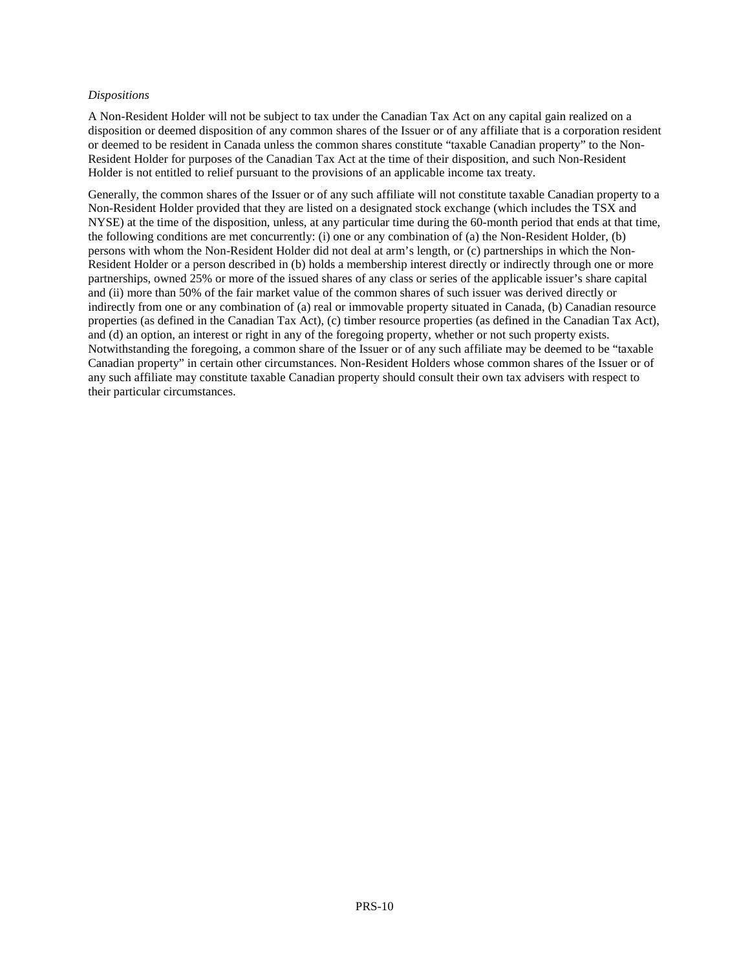#### *Dispositions*

A Non-Resident Holder will not be subject to tax under the Canadian Tax Act on any capital gain realized on a disposition or deemed disposition of any common shares of the Issuer or of any affiliate that is a corporation resident or deemed to be resident in Canada unless the common shares constitute "taxable Canadian property" to the Non-Resident Holder for purposes of the Canadian Tax Act at the time of their disposition, and such Non-Resident Holder is not entitled to relief pursuant to the provisions of an applicable income tax treaty.

Generally, the common shares of the Issuer or of any such affiliate will not constitute taxable Canadian property to a Non-Resident Holder provided that they are listed on a designated stock exchange (which includes the TSX and NYSE) at the time of the disposition, unless, at any particular time during the 60-month period that ends at that time, the following conditions are met concurrently: (i) one or any combination of (a) the Non-Resident Holder, (b) persons with whom the Non-Resident Holder did not deal at arm's length, or (c) partnerships in which the Non-Resident Holder or a person described in (b) holds a membership interest directly or indirectly through one or more partnerships, owned 25% or more of the issued shares of any class or series of the applicable issuer's share capital and (ii) more than 50% of the fair market value of the common shares of such issuer was derived directly or indirectly from one or any combination of (a) real or immovable property situated in Canada, (b) Canadian resource properties (as defined in the Canadian Tax Act), (c) timber resource properties (as defined in the Canadian Tax Act), and (d) an option, an interest or right in any of the foregoing property, whether or not such property exists. Notwithstanding the foregoing, a common share of the Issuer or of any such affiliate may be deemed to be "taxable Canadian property" in certain other circumstances. Non-Resident Holders whose common shares of the Issuer or of any such affiliate may constitute taxable Canadian property should consult their own tax advisers with respect to their particular circumstances.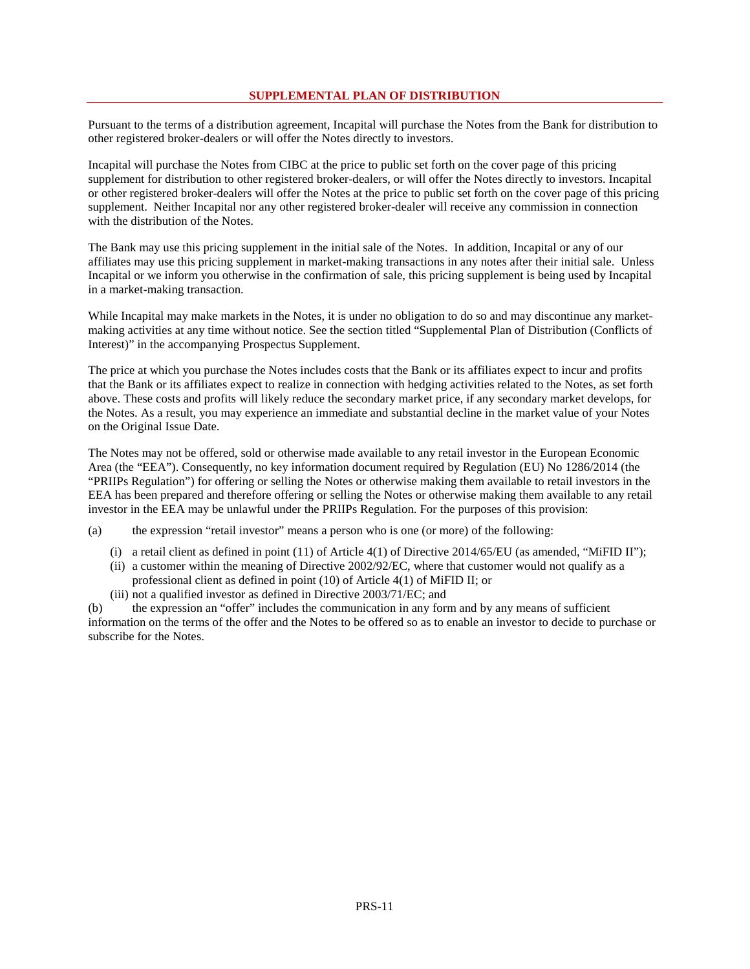#### **SUPPLEMENTAL PLAN OF DISTRIBUTION**

Pursuant to the terms of a distribution agreement, Incapital will purchase the Notes from the Bank for distribution to other registered broker-dealers or will offer the Notes directly to investors.

Incapital will purchase the Notes from CIBC at the price to public set forth on the cover page of this pricing supplement for distribution to other registered broker-dealers, or will offer the Notes directly to investors. Incapital or other registered broker-dealers will offer the Notes at the price to public set forth on the cover page of this pricing supplement. Neither Incapital nor any other registered broker-dealer will receive any commission in connection with the distribution of the Notes.

The Bank may use this pricing supplement in the initial sale of the Notes. In addition, Incapital or any of our affiliates may use this pricing supplement in market-making transactions in any notes after their initial sale. Unless Incapital or we inform you otherwise in the confirmation of sale, this pricing supplement is being used by Incapital in a market-making transaction.

While Incapital may make markets in the Notes, it is under no obligation to do so and may discontinue any marketmaking activities at any time without notice. See the section titled "Supplemental Plan of Distribution (Conflicts of Interest)" in the accompanying Prospectus Supplement.

The price at which you purchase the Notes includes costs that the Bank or its affiliates expect to incur and profits that the Bank or its affiliates expect to realize in connection with hedging activities related to the Notes, as set forth above. These costs and profits will likely reduce the secondary market price, if any secondary market develops, for the Notes. As a result, you may experience an immediate and substantial decline in the market value of your Notes on the Original Issue Date.

The Notes may not be offered, sold or otherwise made available to any retail investor in the European Economic Area (the "EEA"). Consequently, no key information document required by Regulation (EU) No 1286/2014 (the "PRIIPs Regulation") for offering or selling the Notes or otherwise making them available to retail investors in the EEA has been prepared and therefore offering or selling the Notes or otherwise making them available to any retail investor in the EEA may be unlawful under the PRIIPs Regulation. For the purposes of this provision:

(a) the expression "retail investor" means a person who is one (or more) of the following:

- (i) a retail client as defined in point  $(11)$  of Article  $4(1)$  of Directive 2014/65/EU (as amended, "MiFID II");
- (ii) a customer within the meaning of Directive 2002/92/EC, where that customer would not qualify as a professional client as defined in point (10) of Article 4(1) of MiFID II; or
- (iii) not a qualified investor as defined in Directive 2003/71/EC; and

(b) the expression an "offer" includes the communication in any form and by any means of sufficient information on the terms of the offer and the Notes to be offered so as to enable an investor to decide to purchase or subscribe for the Notes.